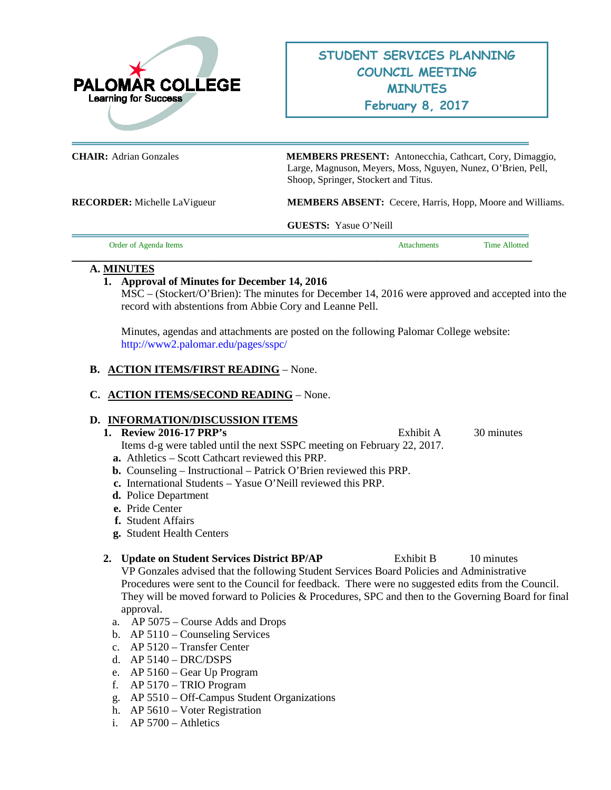

**CHAIR:** Adrian Gonzales **MEMBERS PRESENT:** Antonecchia, Cathcart, Cory, Dimaggio, Large, Magnuson, Meyers, Moss, Nguyen, Nunez, O'Brien, Pell, Shoop, Springer, Stockert and Titus.

**RECORDER:** Michelle LaVigueur **MEMBERS ABSENT:** Cecere, Harris, Hopp, Moore and Williams.

**GUESTS:** Yasue O'Neill

Order of Agenda Items Attachments Time Allotted

## **A. MINUTES**

# **1. Approval of Minutes for December 14, 2016**

MSC – (Stockert/O'Brien): The minutes for December 14, 2016 were approved and accepted into the record with abstentions from Abbie Cory and Leanne Pell.

Minutes, agendas and attachments are posted on the following Palomar College website: <http://www2.palomar.edu/pages/sspc/>

**\_\_\_\_\_\_\_\_\_\_\_\_\_\_\_\_\_\_\_\_\_\_\_\_\_\_\_\_\_\_\_\_\_\_\_\_\_\_\_\_\_\_\_\_\_\_\_\_\_\_\_\_\_\_\_\_\_\_\_\_\_\_\_\_\_\_\_\_\_\_\_\_\_\_\_\_\_\_\_\_\_\_\_\_\_\_\_\_\_\_\_\_**

## **B. ACTION ITEMS/FIRST READING** – None.

# **C. ACTION ITEMS/SECOND READING** – None.

### **D. INFORMATION/DISCUSSION ITEMS**

### **1. Review 2016-17 PRP's** Exhibit A 30 minutes

Items d-g were tabled until the next SSPC meeting on February 22, 2017.

- **a.** Athletics Scott Cathcart reviewed this PRP.
- **b.** Counseling Instructional Patrick O'Brien reviewed this PRP.
- **c.** International Students Yasue O'Neill reviewed this PRP.
- **d.** Police Department
- **e.** Pride Center
- **f.** Student Affairs
- **g.** Student Health Centers

# 2. **Update on Student Services District BP/AP** Exhibit B 10 minutes

VP Gonzales advised that the following Student Services Board Policies and Administrative Procedures were sent to the Council for feedback. There were no suggested edits from the Council. They will be moved forward to Policies & Procedures, SPC and then to the Governing Board for final approval.

- a. AP 5075 Course Adds and Drops
- b. AP 5110 Counseling Services
- c. AP 5120 Transfer Center
- d. AP 5140 DRC/DSPS
- e. AP 5160 Gear Up Program
- f. AP 5170 TRIO Program
- g. AP 5510 Off-Campus Student Organizations
- h. AP 5610 Voter Registration
- i. AP 5700 Athletics